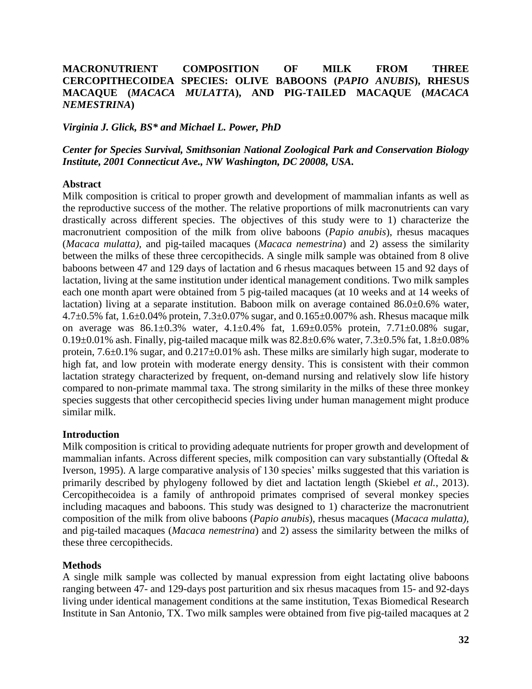# **MACRONUTRIENT COMPOSITION OF MILK FROM THREE CERCOPITHECOIDEA SPECIES: OLIVE BABOONS (***PAPIO ANUBIS***), RHESUS MACAQUE (***MACACA MULATTA***), AND PIG-TAILED MACAQUE (***MACACA NEMESTRINA***)**

#### *Virginia J. Glick, BS\* and Michael L. Power, PhD*

*Center for Species Survival, Smithsonian National Zoological Park and Conservation Biology Institute, 2001 Connecticut Ave., NW Washington, DC 20008, USA.*

#### **Abstract**

Milk composition is critical to proper growth and development of mammalian infants as well as the reproductive success of the mother. The relative proportions of milk macronutrients can vary drastically across different species. The objectives of this study were to 1) characterize the macronutrient composition of the milk from olive baboons (*Papio anubis*), rhesus macaques (*Macaca mulatta),* and pig-tailed macaques (*Macaca nemestrina*) and 2) assess the similarity between the milks of these three cercopithecids. A single milk sample was obtained from 8 olive baboons between 47 and 129 days of lactation and 6 rhesus macaques between 15 and 92 days of lactation, living at the same institution under identical management conditions. Two milk samples each one month apart were obtained from 5 pig-tailed macaques (at 10 weeks and at 14 weeks of lactation) living at a separate institution. Baboon milk on average contained 86.0±0.6% water, 4.7 $\pm$ 0.5% fat, 1.6 $\pm$ 0.04% protein, 7.3 $\pm$ 0.07% sugar, and 0.165 $\pm$ 0.007% ash. Rhesus macaque milk on average was 86.1±0.3% water, 4.1±0.4% fat, 1.69±0.05% protein, 7.71±0.08% sugar, 0.19 $\pm$ 0.01% ash. Finally, pig-tailed macaque milk was 82.8 $\pm$ 0.6% water, 7.3 $\pm$ 0.5% fat, 1.8 $\pm$ 0.08% protein, 7.6±0.1% sugar, and 0.217±0.01% ash. These milks are similarly high sugar, moderate to high fat, and low protein with moderate energy density. This is consistent with their common lactation strategy characterized by frequent, on-demand nursing and relatively slow life history compared to non-primate mammal taxa. The strong similarity in the milks of these three monkey species suggests that other cercopithecid species living under human management might produce similar milk.

#### **Introduction**

Milk composition is critical to providing adequate nutrients for proper growth and development of mammalian infants. Across different species, milk composition can vary substantially (Oftedal & Iverson, 1995). A large comparative analysis of 130 species' milks suggested that this variation is primarily described by phylogeny followed by diet and lactation length (Skiebel *et al.*, 2013). Cercopithecoidea is a family of anthropoid primates comprised of several monkey species including macaques and baboons. This study was designed to 1) characterize the macronutrient composition of the milk from olive baboons (*Papio anubis*), rhesus macaques (*Macaca mulatta),* and pig-tailed macaques (*Macaca nemestrina*) and 2) assess the similarity between the milks of these three cercopithecids.

### **Methods**

A single milk sample was collected by manual expression from eight lactating olive baboons ranging between 47- and 129-days post parturition and six rhesus macaques from 15- and 92-days living under identical management conditions at the same institution, Texas Biomedical Research Institute in San Antonio, TX. Two milk samples were obtained from five pig-tailed macaques at 2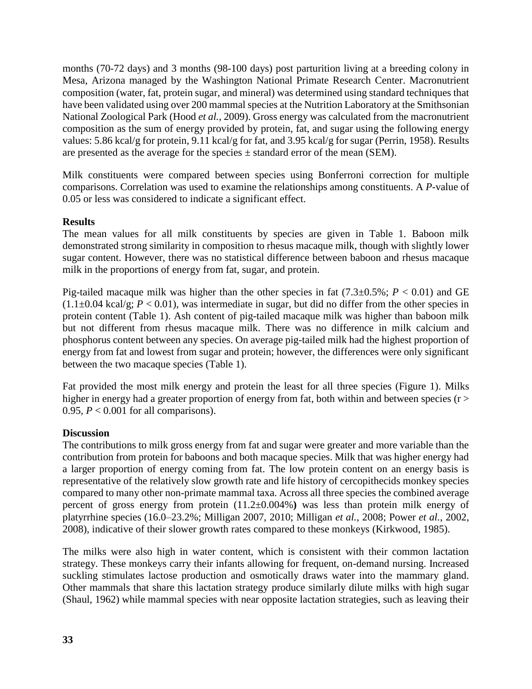months (70-72 days) and 3 months (98-100 days) post parturition living at a breeding colony in Mesa, Arizona managed by the Washington National Primate Research Center. Macronutrient composition (water, fat, protein sugar, and mineral) was determined using standard techniques that have been validated using over 200 mammal species at the Nutrition Laboratory at the Smithsonian National Zoological Park (Hood *et al.*, 2009). Gross energy was calculated from the macronutrient composition as the sum of energy provided by protein, fat, and sugar using the following energy values: 5.86 kcal/g for protein, 9.11 kcal/g for fat, and 3.95 kcal/g for sugar (Perrin, 1958). Results are presented as the average for the species  $\pm$  standard error of the mean (SEM).

Milk constituents were compared between species using Bonferroni correction for multiple comparisons. Correlation was used to examine the relationships among constituents. A *P-*value of 0.05 or less was considered to indicate a significant effect.

## **Results**

The mean values for all milk constituents by species are given in Table 1. Baboon milk demonstrated strong similarity in composition to rhesus macaque milk, though with slightly lower sugar content. However, there was no statistical difference between baboon and rhesus macaque milk in the proportions of energy from fat, sugar, and protein.

Pig-tailed macaque milk was higher than the other species in fat  $(7.3\pm0.5\%; P < 0.01)$  and GE  $(1.1\pm0.04 \text{ kcal/g}; P < 0.01)$ , was intermediate in sugar, but did no differ from the other species in protein content (Table 1). Ash content of pig-tailed macaque milk was higher than baboon milk but not different from rhesus macaque milk. There was no difference in milk calcium and phosphorus content between any species. On average pig-tailed milk had the highest proportion of energy from fat and lowest from sugar and protein; however, the differences were only significant between the two macaque species (Table 1).

Fat provided the most milk energy and protein the least for all three species (Figure 1). Milks higher in energy had a greater proportion of energy from fat, both within and between species ( $r >$ 0.95,  $P < 0.001$  for all comparisons).

# **Discussion**

The contributions to milk gross energy from fat and sugar were greater and more variable than the contribution from protein for baboons and both macaque species. Milk that was higher energy had a larger proportion of energy coming from fat. The low protein content on an energy basis is representative of the relatively slow growth rate and life history of cercopithecids monkey species compared to many other non-primate mammal taxa. Across all three species the combined average percent of gross energy from protein (11.2±0.004%**)** was less than protein milk energy of platyrrhine species (16.0–23.2%; Milligan 2007, 2010; Milligan *et al.*, 2008; Power *et al.*, 2002, 2008), indicative of their slower growth rates compared to these monkeys (Kirkwood, 1985).

The milks were also high in water content, which is consistent with their common lactation strategy. These monkeys carry their infants allowing for frequent, on-demand nursing. Increased suckling stimulates lactose production and osmotically draws water into the mammary gland. Other mammals that share this lactation strategy produce similarly dilute milks with high sugar (Shaul, 1962) while mammal species with near opposite lactation strategies, such as leaving their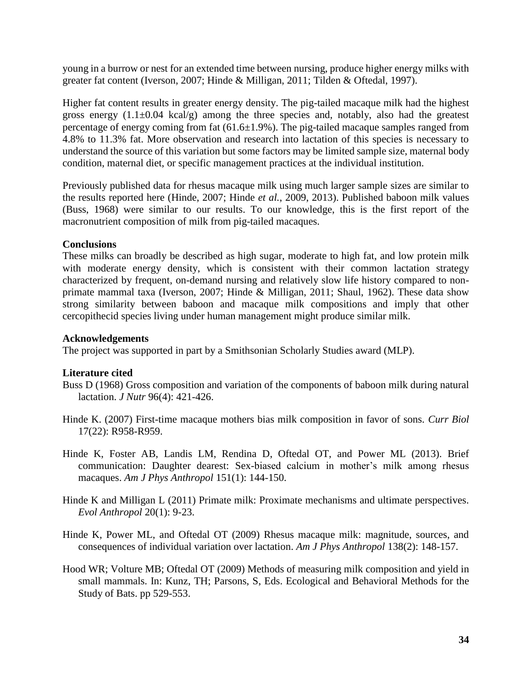young in a burrow or nest for an extended time between nursing, produce higher energy milks with greater fat content (Iverson, 2007; Hinde & Milligan, 2011; Tilden & Oftedal, 1997).

Higher fat content results in greater energy density. The pig-tailed macaque milk had the highest gross energy  $(1.1\pm0.04 \text{ kcal/g})$  among the three species and, notably, also had the greatest percentage of energy coming from fat (61.6±1.9%). The pig-tailed macaque samples ranged from 4.8% to 11.3% fat. More observation and research into lactation of this species is necessary to understand the source of this variation but some factors may be limited sample size, maternal body condition, maternal diet, or specific management practices at the individual institution.

Previously published data for rhesus macaque milk using much larger sample sizes are similar to the results reported here (Hinde, 2007; Hinde *et al.*, 2009, 2013). Published baboon milk values (Buss, 1968) were similar to our results. To our knowledge, this is the first report of the macronutrient composition of milk from pig-tailed macaques.

## **Conclusions**

These milks can broadly be described as high sugar, moderate to high fat, and low protein milk with moderate energy density, which is consistent with their common lactation strategy characterized by frequent, on-demand nursing and relatively slow life history compared to nonprimate mammal taxa (Iverson, 2007; Hinde & Milligan, 2011; Shaul, 1962). These data show strong similarity between baboon and macaque milk compositions and imply that other cercopithecid species living under human management might produce similar milk.

## **Acknowledgements**

The project was supported in part by a Smithsonian Scholarly Studies award (MLP).

# **Literature cited**

- Buss D (1968) Gross composition and variation of the components of baboon milk during natural lactation. *J Nutr* 96(4): 421-426.
- Hinde K. (2007) First-time macaque mothers bias milk composition in favor of sons. *Curr Biol*  17(22): R958-R959.
- Hinde K, Foster AB, Landis LM, Rendina D, Oftedal OT, and Power ML (2013). Brief communication: Daughter dearest: Sex-biased calcium in mother's milk among rhesus macaques. *Am J Phys Anthropol* 151(1): 144-150.
- Hinde K and Milligan L (2011) Primate milk: Proximate mechanisms and ultimate perspectives. *Evol Anthropol* 20(1): 9-23.
- Hinde K, Power ML, and Oftedal OT (2009) Rhesus macaque milk: magnitude, sources, and consequences of individual variation over lactation. *Am J Phys Anthropol* 138(2): 148-157.
- Hood WR; Volture MB; Oftedal OT (2009) Methods of measuring milk composition and yield in small mammals. In: Kunz, TH; Parsons, S, Eds. Ecological and Behavioral Methods for the Study of Bats. pp 529-553.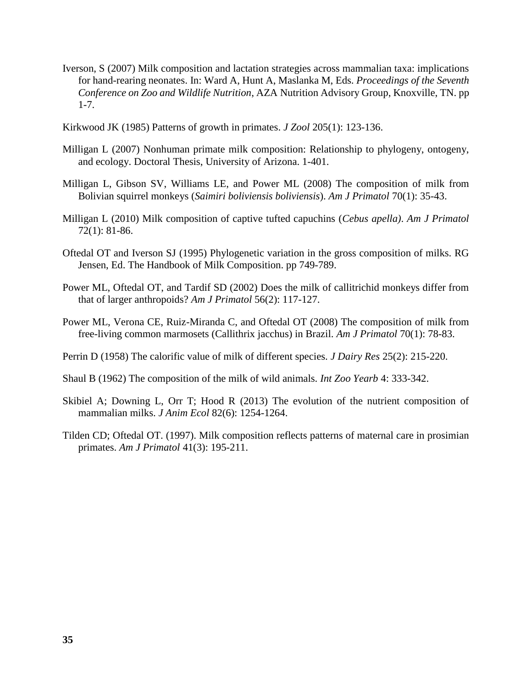- Iverson, S (2007) Milk composition and lactation strategies across mammalian taxa: implications for hand-rearing neonates. In: Ward A, Hunt A, Maslanka M, Eds. *Proceedings of the Seventh Conference on Zoo and Wildlife Nutrition*, AZA Nutrition Advisory Group, Knoxville, TN. pp 1-7.
- Kirkwood JK (1985) Patterns of growth in primates. *J Zool* 205(1): 123-136.
- Milligan L (2007) Nonhuman primate milk composition: Relationship to phylogeny, ontogeny, and ecology. Doctoral Thesis, University of Arizona. 1-401.
- Milligan L, Gibson SV, Williams LE, and Power ML (2008) The composition of milk from Bolivian squirrel monkeys (*Saimiri boliviensis boliviensis*). *Am J Primatol* 70(1): 35-43.
- Milligan L (2010) Milk composition of captive tufted capuchins (*Cebus apella)*. *Am J Primatol* 72(1): 81-86.
- Oftedal OT and Iverson SJ (1995) Phylogenetic variation in the gross composition of milks. RG Jensen, Ed. The Handbook of Milk Composition. pp 749-789.
- Power ML, Oftedal OT, and Tardif SD (2002) Does the milk of callitrichid monkeys differ from that of larger anthropoids? *Am J Primatol* 56(2): 117-127.
- Power ML, Verona CE, Ruiz-Miranda C, and Oftedal OT (2008) The composition of milk from free-living common marmosets (Callithrix jacchus) in Brazil. *Am J Primatol* 70(1): 78-83.
- Perrin D (1958) The calorific value of milk of different species. *J Dairy Res* 25(2): 215-220.
- Shaul B (1962) The composition of the milk of wild animals. *Int Zoo Yearb* 4: 333-342.
- Skibiel A; Downing L, Orr T; Hood R (2013) The evolution of the nutrient composition of mammalian milks. *J Anim Ecol* 82(6): 1254-1264.
- Tilden CD; Oftedal OT. (1997). Milk composition reflects patterns of maternal care in prosimian primates. *Am J Primatol* 41(3): 195-211.